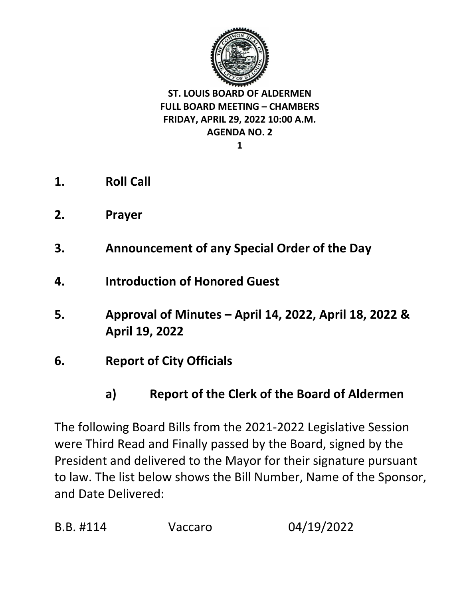

**1**

- **1. Roll Call**
- **2. Prayer**
- **3. Announcement of any Special Order of the Day**
- **4. Introduction of Honored Guest**
- **5. Approval of Minutes – April 14, 2022, April 18, 2022 & April 19, 2022**
- **6. Report of City Officials** 
	- **a) Report of the Clerk of the Board of Aldermen**

The following Board Bills from the 2021-2022 Legislative Session were Third Read and Finally passed by the Board, signed by the President and delivered to the Mayor for their signature pursuant to law. The list below shows the Bill Number, Name of the Sponsor, and Date Delivered: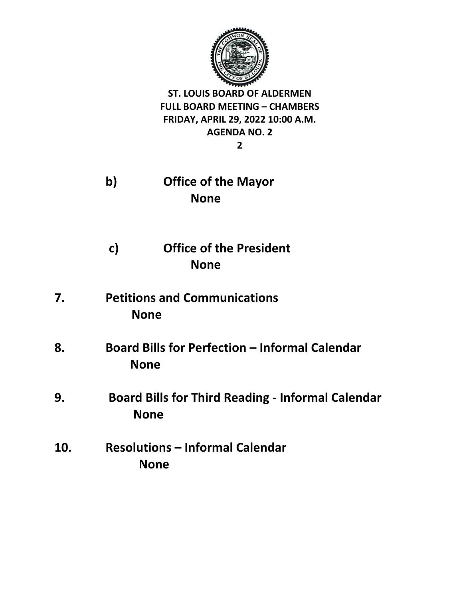

**2**

- **b) Office of the Mayor None**
- **c) Office of the President None**
- **7. Petitions and Communications None**
- **8. Board Bills for Perfection – Informal Calendar None**
- **9. Board Bills for Third Reading - Informal Calendar None**
- **10. Resolutions – Informal Calendar None**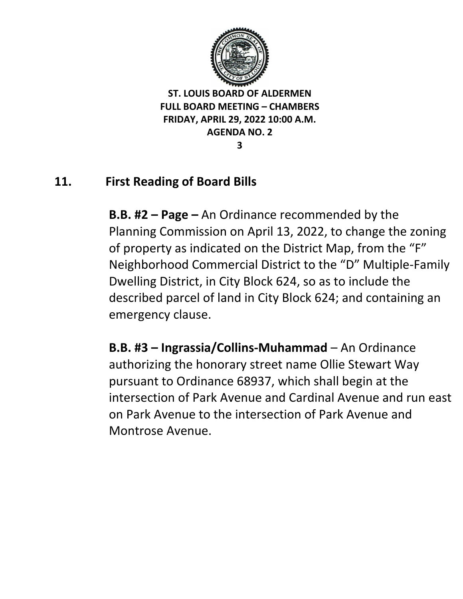

**3**

# **11. First Reading of Board Bills**

**B.B. #2 – Page –** An Ordinance recommended by the Planning Commission on April 13, 2022, to change the zoning of property as indicated on the District Map, from the "F" Neighborhood Commercial District to the "D" Multiple-Family Dwelling District, in City Block 624, so as to include the described parcel of land in City Block 624; and containing an emergency clause.

**B.B. #3 – Ingrassia/Collins-Muhammad** – An Ordinance authorizing the honorary street name Ollie Stewart Way pursuant to Ordinance 68937, which shall begin at the intersection of Park Avenue and Cardinal Avenue and run east on Park Avenue to the intersection of Park Avenue and Montrose Avenue.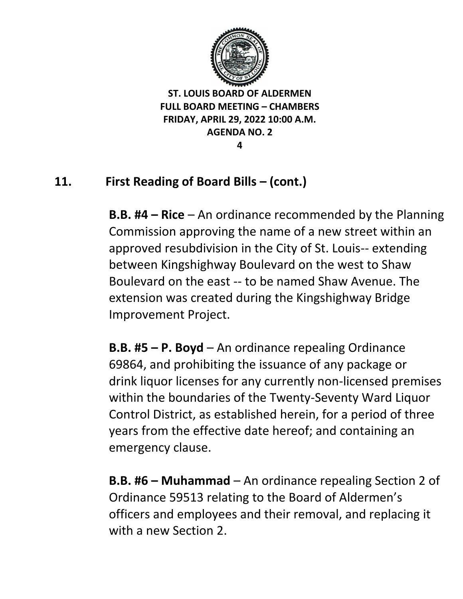

**4**

# **11. First Reading of Board Bills – (cont.)**

**B.B. #4 – Rice** – An ordinance recommended by the Planning Commission approving the name of a new street within an approved resubdivision in the City of St. Louis-- extending between Kingshighway Boulevard on the west to Shaw Boulevard on the east -- to be named Shaw Avenue. The extension was created during the Kingshighway Bridge Improvement Project.

**B.B. #5 – P. Boyd** – An ordinance repealing Ordinance 69864, and prohibiting the issuance of any package or drink liquor licenses for any currently non-licensed premises within the boundaries of the Twenty-Seventy Ward Liquor Control District, as established herein, for a period of three years from the effective date hereof; and containing an emergency clause.

**B.B. #6 – Muhammad** – An ordinance repealing Section 2 of Ordinance 59513 relating to the Board of Aldermen's officers and employees and their removal, and replacing it with a new Section 2.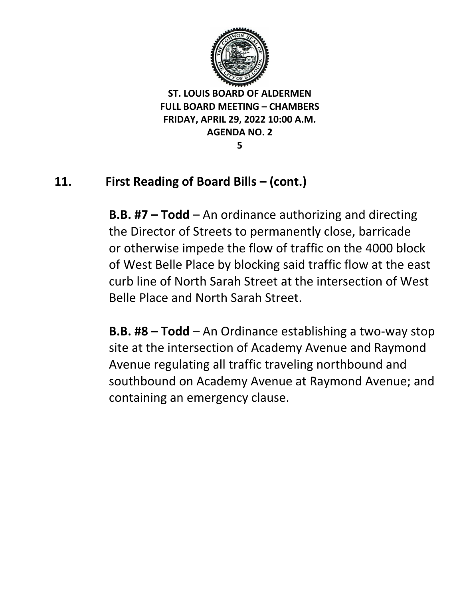

**5**

# **11. First Reading of Board Bills – (cont.)**

**B.B. #7 – Todd** – An ordinance authorizing and directing the Director of Streets to permanently close, barricade or otherwise impede the flow of traffic on the 4000 block of West Belle Place by blocking said traffic flow at the east curb line of North Sarah Street at the intersection of West Belle Place and North Sarah Street.

**B.B. #8 – Todd** – An Ordinance establishing a two-way stop site at the intersection of Academy Avenue and Raymond Avenue regulating all traffic traveling northbound and southbound on Academy Avenue at Raymond Avenue; and containing an emergency clause.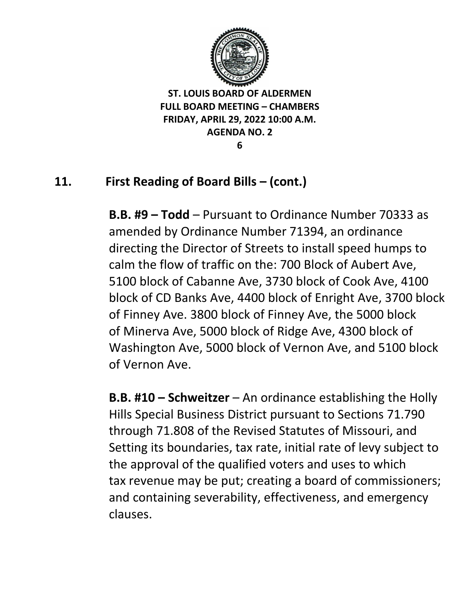

**6**

# **11. First Reading of Board Bills – (cont.)**

**B.B. #9 – Todd** – Pursuant to Ordinance Number 70333 as amended by Ordinance Number 71394, an ordinance directing the Director of Streets to install speed humps to calm the flow of traffic on the: 700 Block of Aubert Ave, 5100 block of Cabanne Ave, 3730 block of Cook Ave, 4100 block of CD Banks Ave, 4400 block of Enright Ave, 3700 block of Finney Ave. 3800 block of Finney Ave, the 5000 block of Minerva Ave, 5000 block of Ridge Ave, 4300 block of Washington Ave, 5000 block of Vernon Ave, and 5100 block of Vernon Ave.

**B.B. #10 – Schweitzer** – An ordinance establishing the Holly Hills Special Business District pursuant to Sections 71.790 through 71.808 of the Revised Statutes of Missouri, and Setting its boundaries, tax rate, initial rate of levy subject to the approval of the qualified voters and uses to which tax revenue may be put; creating a board of commissioners; and containing severability, effectiveness, and emergency clauses.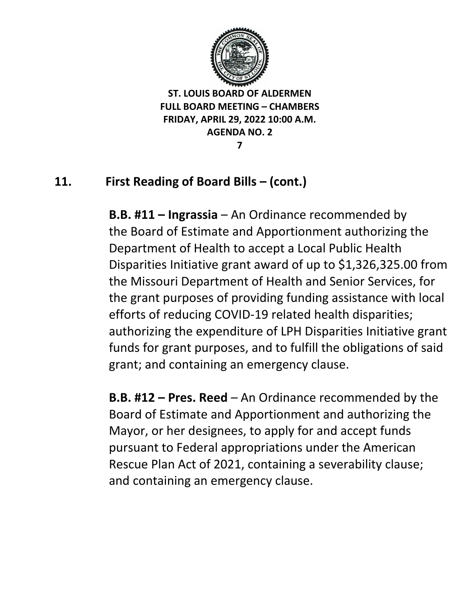

**7**

# **11. First Reading of Board Bills – (cont.)**

**B.B. #11 – Ingrassia** – An Ordinance recommended by the Board of Estimate and Apportionment authorizing the Department of Health to accept a Local Public Health Disparities Initiative grant award of up to \$1,326,325.00 from the Missouri Department of Health and Senior Services, for the grant purposes of providing funding assistance with local efforts of reducing COVID-19 related health disparities; authorizing the expenditure of LPH Disparities Initiative grant funds for grant purposes, and to fulfill the obligations of said grant; and containing an emergency clause.

**B.B. #12 – Pres. Reed** – An Ordinance recommended by the Board of Estimate and Apportionment and authorizing the Mayor, or her designees, to apply for and accept funds pursuant to Federal appropriations under the American Rescue Plan Act of 2021, containing a severability clause; and containing an emergency clause.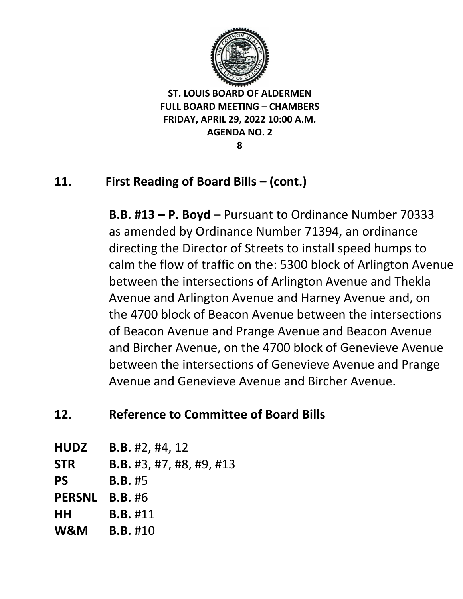

**8**

# **11. First Reading of Board Bills – (cont.)**

**B.B. #13 – P. Boyd** – Pursuant to Ordinance Number 70333 as amended by Ordinance Number 71394, an ordinance directing the Director of Streets to install speed humps to calm the flow of traffic on the: 5300 block of Arlington Avenue between the intersections of Arlington Avenue and Thekla Avenue and Arlington Avenue and Harney Avenue and, on the 4700 block of Beacon Avenue between the intersections of Beacon Avenue and Prange Avenue and Beacon Avenue and Bircher Avenue, on the 4700 block of Genevieve Avenue between the intersections of Genevieve Avenue and Prange Avenue and Genevieve Avenue and Bircher Avenue.

## **12. Reference to Committee of Board Bills**

- **HUDZ B.B.** #2, #4, 12
- **STR B.B.** #3, #7, #8, #9, #13
- **PS B.B.** #5
- **PERSNL B.B.** #6
- **HH B.B.** #11
- **W&M B.B.** #10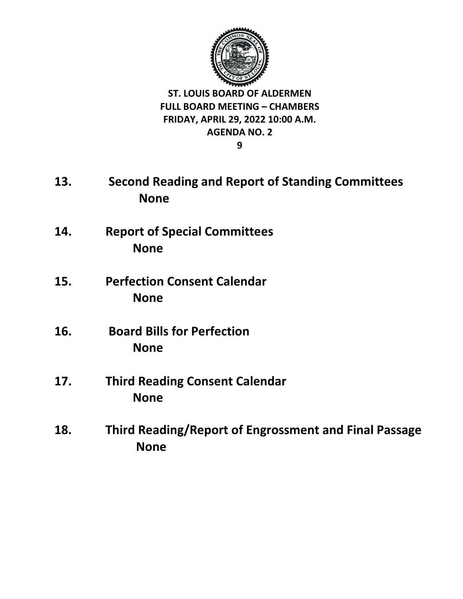

**9**

- **13. Second Reading and Report of Standing Committees None**
- **14. Report of Special Committees None**
- **15. Perfection Consent Calendar None**
- **16. Board Bills for Perfection None**
- **17. Third Reading Consent Calendar None**
- **18. Third Reading/Report of Engrossment and Final Passage None**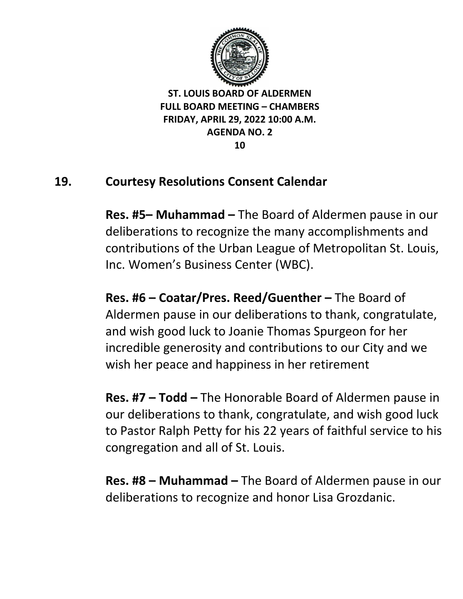

### **19. Courtesy Resolutions Consent Calendar**

**Res. #5– Muhammad –** The Board of Aldermen pause in our deliberations to recognize the many accomplishments and contributions of the Urban League of Metropolitan St. Louis, Inc. Women's Business Center (WBC).

**Res. #6 – Coatar/Pres. Reed/Guenther –** The Board of Aldermen pause in our deliberations to thank, congratulate, and wish good luck to Joanie Thomas Spurgeon for her incredible generosity and contributions to our City and we wish her peace and happiness in her retirement

**Res. #7 – Todd –** The Honorable Board of Aldermen pause in our deliberations to thank, congratulate, and wish good luck to Pastor Ralph Petty for his 22 years of faithful service to his congregation and all of St. Louis.

**Res. #8 – Muhammad –** The Board of Aldermen pause in our deliberations to recognize and honor Lisa Grozdanic.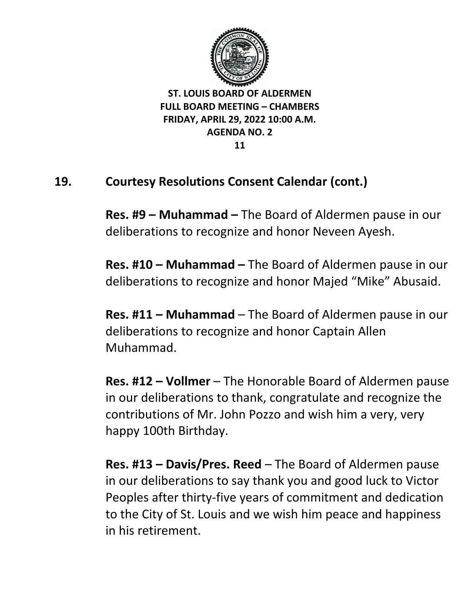

## **19. Courtesy Resolutions Consent Calendar (cont.)**

**Res. #9 – Muhammad –** The Board of Aldermen pause in our deliberations to recognize and honor Neveen Ayesh.

**Res. #10 – Muhammad –** The Board of Aldermen pause in our deliberations to recognize and honor Majed "Mike" Abusaid.

**Res. #11 – Muhammad** – The Board of Aldermen pause in our deliberations to recognize and honor Captain Allen Muhammad.

**Res. #12 – Vollmer** – The Honorable Board of Aldermen pause in our deliberations to thank, congratulate and recognize the contributions of Mr. John Pozzo and wish him a very, very happy 100th Birthday.

**Res. #13 – Davis/Pres. Reed** – The Board of Aldermen pause in our deliberations to say thank you and good luck to Victor Peoples after thirty-five years of commitment and dedication to the City of St. Louis and we wish him peace and happiness in his retirement.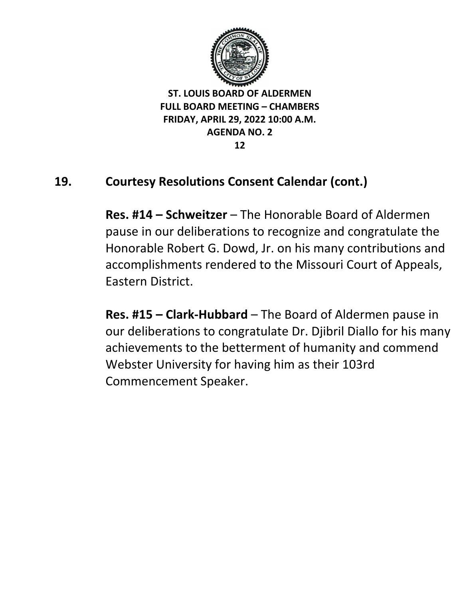

### **19. Courtesy Resolutions Consent Calendar (cont.)**

**Res. #14 – Schweitzer** – The Honorable Board of Aldermen pause in our deliberations to recognize and congratulate the Honorable Robert G. Dowd, Jr. on his many contributions and accomplishments rendered to the Missouri Court of Appeals, Eastern District.

**Res. #15 – Clark-Hubbard** – The Board of Aldermen pause in our deliberations to congratulate Dr. Djibril Diallo for his many achievements to the betterment of humanity and commend Webster University for having him as their 103rd Commencement Speaker.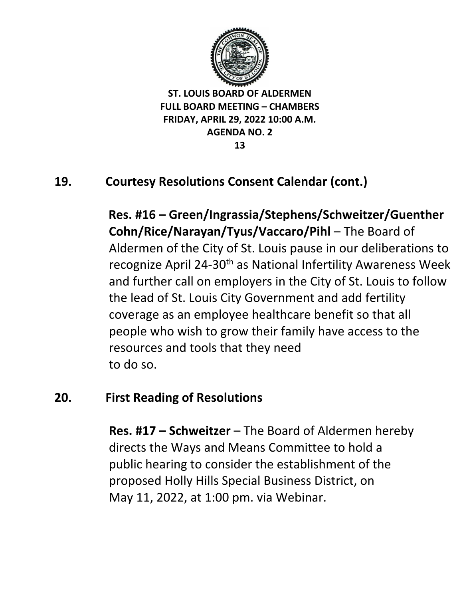

# **19. Courtesy Resolutions Consent Calendar (cont.)**

**Res. #16 – Green/Ingrassia/Stephens/Schweitzer/Guenther Cohn/Rice/Narayan/Tyus/Vaccaro/Pihl** – The Board of Aldermen of the City of St. Louis pause in our deliberations to recognize April 24-30<sup>th</sup> as National Infertility Awareness Week and further call on employers in the City of St. Louis to follow the lead of St. Louis City Government and add fertility coverage as an employee healthcare benefit so that all people who wish to grow their family have access to the resources and tools that they need to do so.

#### **20. First Reading of Resolutions**

**Res. #17 – Schweitzer** – The Board of Aldermen hereby directs the Ways and Means Committee to hold a public hearing to consider the establishment of the proposed Holly Hills Special Business District, on May 11, 2022, at 1:00 pm. via Webinar.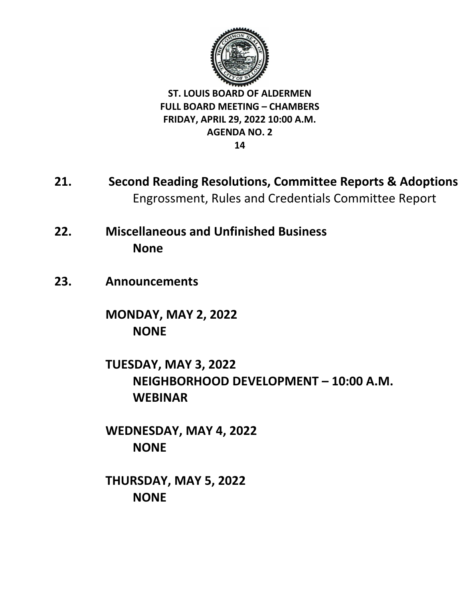

- **21. Second Reading Resolutions, Committee Reports & Adoptions** Engrossment, Rules and Credentials Committee Report
- **22. Miscellaneous and Unfinished Business None**
- **23. Announcements**

**MONDAY, MAY 2, 2022 NONE**

**TUESDAY, MAY 3, 2022 NEIGHBORHOOD DEVELOPMENT – 10:00 A.M. WEBINAR** 

**WEDNESDAY, MAY 4, 2022 NONE**

**THURSDAY, MAY 5, 2022 NONE**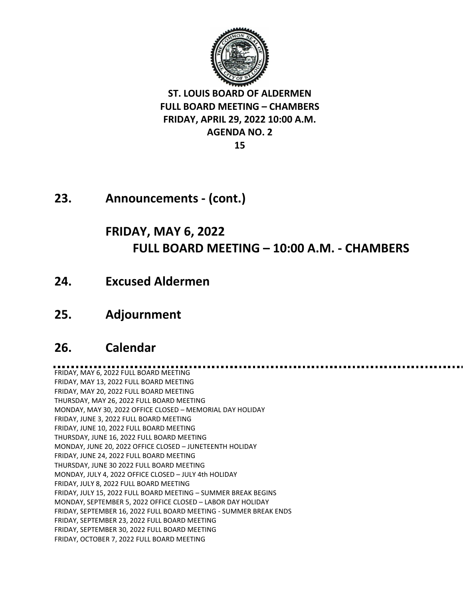

**23. Announcements - (cont.)**

## **FRIDAY, MAY 6, 2022 FULL BOARD MEETING – 10:00 A.M. - CHAMBERS**

- **24. Excused Aldermen**
- **25. Adjournment**

#### **26. Calendar**

FRIDAY, MAY 6, 2022 FULL BOARD MEETING FRIDAY, MAY 13, 2022 FULL BOARD MEETING FRIDAY, MAY 20, 2022 FULL BOARD MEETING THURSDAY, MAY 26, 2022 FULL BOARD MEETING MONDAY, MAY 30, 2022 OFFICE CLOSED – MEMORIAL DAY HOLIDAY FRIDAY, JUNE 3, 2022 FULL BOARD MEETING FRIDAY, JUNE 10, 2022 FULL BOARD MEETING THURSDAY, JUNE 16, 2022 FULL BOARD MEETING MONDAY, JUNE 20, 2022 OFFICE CLOSED – JUNETEENTH HOLIDAY FRIDAY, JUNE 24, 2022 FULL BOARD MEETING THURSDAY, JUNE 30 2022 FULL BOARD MEETING MONDAY, JULY 4, 2022 OFFICE CLOSED – JULY 4th HOLIDAY FRIDAY, JULY 8, 2022 FULL BOARD MEETING FRIDAY, JULY 15, 2022 FULL BOARD MEETING – SUMMER BREAK BEGINS MONDAY, SEPTEMBER 5, 2022 OFFICE CLOSED – LABOR DAY HOLIDAY FRIDAY, SEPTEMBER 16, 2022 FULL BOARD MEETING - SUMMER BREAK ENDS FRIDAY, SEPTEMBER 23, 2022 FULL BOARD MEETING FRIDAY, SEPTEMBER 30, 2022 FULL BOARD MEETING FRIDAY, OCTOBER 7, 2022 FULL BOARD MEETING